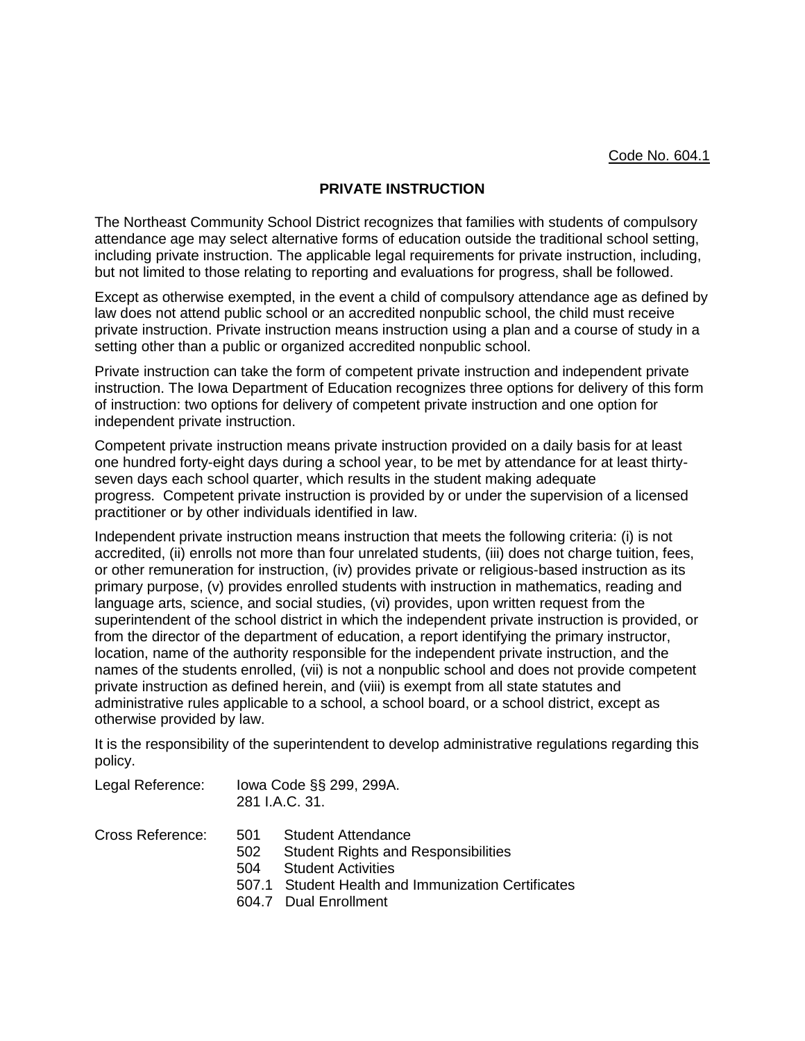## **PRIVATE INSTRUCTION**

The Northeast Community School District recognizes that families with students of compulsory attendance age may select alternative forms of education outside the traditional school setting, including private instruction. The applicable legal requirements for private instruction, including, but not limited to those relating to reporting and evaluations for progress, shall be followed.

Except as otherwise exempted, in the event a child of compulsory attendance age as defined by law does not attend public school or an accredited nonpublic school, the child must receive private instruction. Private instruction means instruction using a plan and a course of study in a setting other than a public or organized accredited nonpublic school.

Private instruction can take the form of competent private instruction and independent private instruction. The Iowa Department of Education recognizes three options for delivery of this form of instruction: two options for delivery of competent private instruction and one option for independent private instruction.

Competent private instruction means private instruction provided on a daily basis for at least one hundred forty-eight days during a school year, to be met by attendance for at least thirtyseven days each school quarter, which results in the student making adequate progress. Competent private instruction is provided by or under the supervision of a licensed practitioner or by other individuals identified in law.

Independent private instruction means instruction that meets the following criteria: (i) is not accredited, (ii) enrolls not more than four unrelated students, (iii) does not charge tuition, fees, or other remuneration for instruction, (iv) provides private or religious-based instruction as its primary purpose, (v) provides enrolled students with instruction in mathematics, reading and language arts, science, and social studies, (vi) provides, upon written request from the superintendent of the school district in which the independent private instruction is provided, or from the director of the department of education, a report identifying the primary instructor, location, name of the authority responsible for the independent private instruction, and the names of the students enrolled, (vii) is not a nonpublic school and does not provide competent private instruction as defined herein, and (viii) is exempt from all state statutes and administrative rules applicable to a school, a school board, or a school district, except as otherwise provided by law.

It is the responsibility of the superintendent to develop administrative regulations regarding this policy.

| Legal Reference: | 281 I.A.C. 31.    | lowa Code §§ 299, 299A.                                                                                                                                                      |
|------------------|-------------------|------------------------------------------------------------------------------------------------------------------------------------------------------------------------------|
| Cross Reference: | 501<br>502<br>504 | Student Attendance<br><b>Student Rights and Responsibilities</b><br><b>Student Activities</b><br>507.1 Student Health and Immunization Certificates<br>604.7 Dual Enrollment |